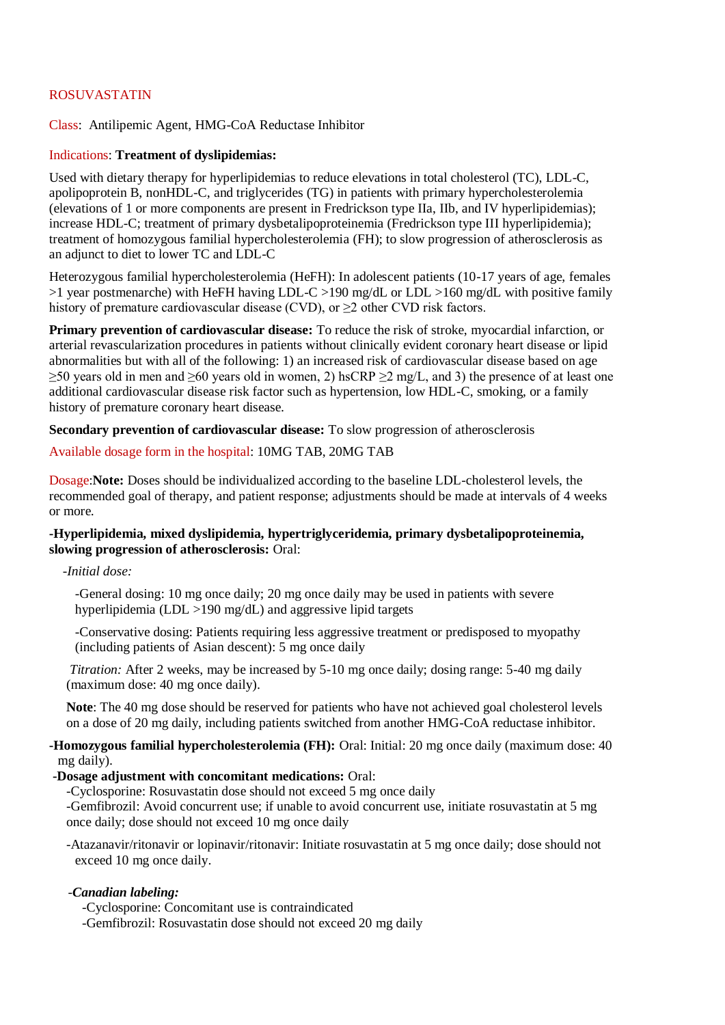# ROSUVASTATIN

Class: Antilipemic Agent, HMG-CoA Reductase Inhibitor

#### Indications: **Treatment of dyslipidemias:**

Used with dietary therapy for hyperlipidemias to reduce elevations in total cholesterol (TC), LDL-C, apolipoprotein B, nonHDL-C, and triglycerides (TG) in patients with primary hypercholesterolemia (elevations of 1 or more components are present in Fredrickson type IIa, IIb, and IV hyperlipidemias); increase HDL-C; treatment of primary dysbetalipoproteinemia (Fredrickson type III hyperlipidemia); treatment of homozygous familial hypercholesterolemia (FH); to slow progression of atherosclerosis as an adjunct to diet to lower TC and LDL-C

Heterozygous familial hypercholesterolemia (HeFH): In adolescent patients (10-17 years of age, females >1 year postmenarche) with HeFH having LDL-C >190 mg/dL or LDL >160 mg/dL with positive family history of premature cardiovascular disease (CVD), or  $\geq$  2 other CVD risk factors.

**Primary prevention of cardiovascular disease:** To reduce the risk of stroke, myocardial infarction, or arterial revascularization procedures in patients without clinically evident coronary heart disease or lipid abnormalities but with all of the following: 1) an increased risk of cardiovascular disease based on age  $\geq$ 50 years old in men and  $\geq$ 60 years old in women, 2) hsCRP  $\geq$ 2 mg/L, and 3) the presence of at least one additional cardiovascular disease risk factor such as hypertension, low HDL-C, smoking, or a family history of premature coronary heart disease.

**Secondary prevention of cardiovascular disease:** To slow progression of atherosclerosis

#### Available dosage form in the hospital: 10MG TAB, 20MG TAB

Dosage:**Note:** Doses should be individualized according to the baseline LDL-cholesterol levels, the recommended goal of therapy, and patient response; adjustments should be made at intervals of 4 weeks or more.

#### **-Hyperlipidemia, mixed dyslipidemia, hypertriglyceridemia, primary dysbetalipoproteinemia, slowing progression of atherosclerosis:** Oral:

 *-Initial dose:*

-General dosing: 10 mg once daily; 20 mg once daily may be used in patients with severe hyperlipidemia (LDL  $>190$  mg/dL) and aggressive lipid targets

-Conservative dosing: Patients requiring less aggressive treatment or predisposed to myopathy (including patients of Asian descent): 5 mg once daily

*Titration:* After 2 weeks, may be increased by 5-10 mg once daily; dosing range: 5-40 mg daily (maximum dose: 40 mg once daily).

**Note**: The 40 mg dose should be reserved for patients who have not achieved goal cholesterol levels on a dose of 20 mg daily, including patients switched from another HMG-CoA reductase inhibitor.

**-Homozygous familial hypercholesterolemia (FH):** Oral: Initial: 20 mg once daily (maximum dose: 40 mg daily).

#### **-Dosage adjustment with concomitant medications:** Oral:

-Cyclosporine: Rosuvastatin dose should not exceed 5 mg once daily

-Gemfibrozil: Avoid concurrent use; if unable to avoid concurrent use, initiate rosuvastatin at 5 mg once daily; dose should not exceed 10 mg once daily

-Atazanavir/ritonavir or lopinavir/ritonavir: Initiate rosuvastatin at 5 mg once daily; dose should not exceed 10 mg once daily.

#### -*Canadian labeling:*

-Cyclosporine: Concomitant use is contraindicated

-Gemfibrozil: Rosuvastatin dose should not exceed 20 mg daily